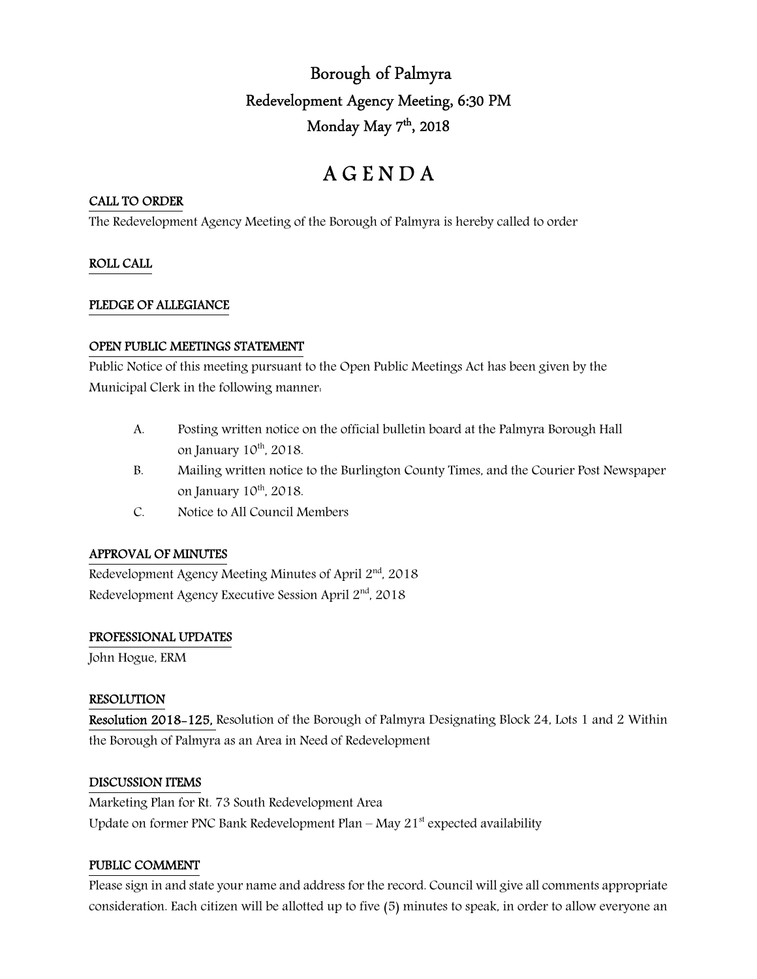## Borough of Palmyra Redevelopment Agency Meeting, 6:30 PM Monday May 7<sup>th</sup>, 2018

# A G E N D A

## CALL TO ORDER

The Redevelopment Agency Meeting of the Borough of Palmyra is hereby called to order

## ROLL CALL

## PLEDGE OF ALLEGIANCE

## OPEN PUBLIC MEETINGS STATEMENT

Public Notice of this meeting pursuant to the Open Public Meetings Act has been given by the Municipal Clerk in the following manner:

- A. Posting written notice on the official bulletin board at the Palmyra Borough Hall on January  $10^{th}$ ,  $2018$ .
- B. Mailing written notice to the Burlington County Times, and the Courier Post Newspaper on January  $10^{th}$ ,  $2018$ .
- C. Notice to All Council Members

## APPROVAL OF MINUTES

Redevelopment Agency Meeting Minutes of April  $2<sup>nd</sup>$ , 2018 Redevelopment Agency Executive Session April 2<sup>nd</sup>, 2018

## PROFESSIONAL UPDATES

John Hogue, ERM

## RESOLUTION

Resolution 2018-125, Resolution of the Borough of Palmyra Designating Block 24, Lots 1 and 2 Within the Borough of Palmyra as an Area in Need of Redevelopment

## DISCUSSION ITEMS

Marketing Plan for Rt. 73 South Redevelopment Area Update on former PNC Bank Redevelopment Plan – May  $21<sup>st</sup>$  expected availability

## PUBLIC COMMENT

Please sign in and state your name and address for the record. Council will give all comments appropriate consideration. Each citizen will be allotted up to five (5) minutes to speak, in order to allow everyone an